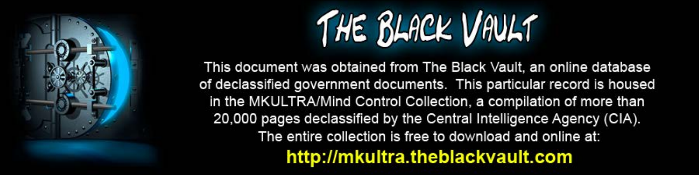

This document was obtained from The Black Vault, an online database of declassified government documents. This particular record is housed in the MKULTRA/Mind Control Collection, a compilation of more than 20,000 pages declassified by the Central Intelligence Agency (CIA). The entire collection is free to download and online at: http://mkultra.theblackvault.com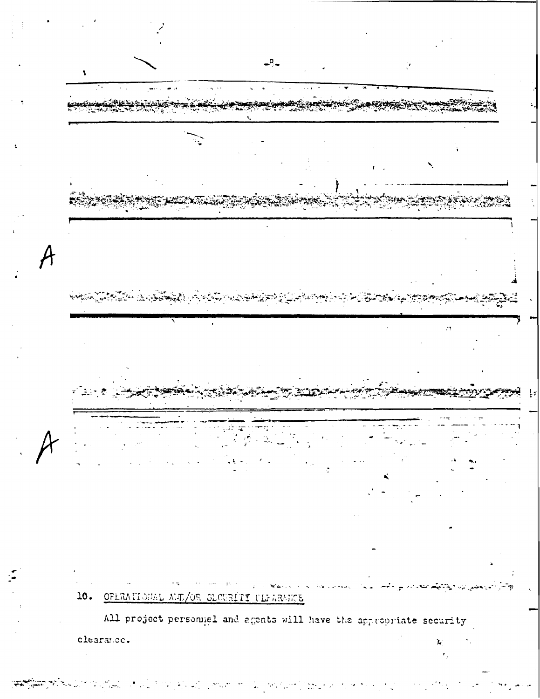

16. OPERATIONAL ARD/OR SLOURITY CLEARANCE

All project personiel and agents will have the appropriate security clearance.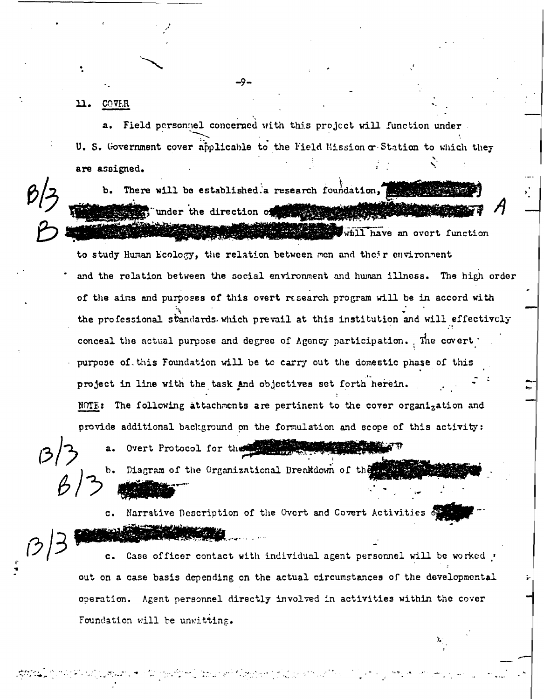11. COVER

Field personnel concerned with this project will function under.  $a.$ U. S. Government cover applicable to the Field Mission or Station to which they are assigned.

There will be established a research foundation, "under the direction of the state of whill have an overt function

to study Human Ecology, the relation between men and their environment and the relation between the social environment and human illness. The high order of the aims and purposes of this overt research program will be in accord with the professional standards. which prevail at this institution and will effectively conceal the actual purpose and degree of Agency participation. The covert purpose of this Foundation will be to carry out the domestic phase of this project in line with the task and objectives set forth herein. NOTE: The following attachments are pertinent to the cover organization and provide additional background on the formulation and scope of this activity:

 $\mathbf{b}$ .

Narrative Description of the Overt and Covert Activities of  $\mathbf{c}$ .

Diagram of the Organizational Breakdown of the

Overt Protocol for the state

Case officer contact with individual agent personnel will be worked out on a case basis depending on the actual circumstances of the developmental operation. Agent personnel directly involved in activities within the cover Foundation will be unwitting.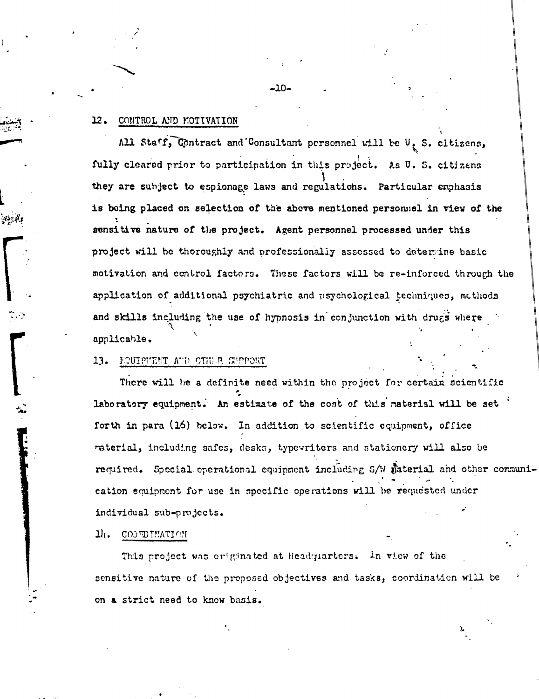#### CONTROL AND MOTIVATION 12.

All Staff, Contract and Consultant personnel will be  $\mathbb{U}_x$  S. citizens, fully cleared prior to participation in this project. As U. S. citizens they are subject to espionage laws and regulations. Particular emphasis is being placed on selection of the above mentioned personnel in view of the sensitive nature of the project. Agent personnel processed under this project will be thoroughly and professionally assessed to determine basic motivation and control factors. These factors will be re-inforced through the application of additional psychiatric and usychological techniques, methods and skills including the use of hypnosis in conjunction with drugs where applicable.

### FOUIPMENT AUD OTHER SUPPORT 13.

There will be a definite need within the project for certain scientific laboratory equipment. An estimate of the cost of this material will be set forth in para (16) below. In addition to scientific equipment, office raterial, including safes, desks, typewriters and stationery will also be required. Special operational equipment including S/W material and other communication equipment for use in specific operations will be requested under individual sub-projects.

#### ı., COUNDIMATION

This project was originated at Headquarters. In view of the sensitive nature of the proposed objectives and tasks, coordination will be on a strict need to know basis.

 $-10-$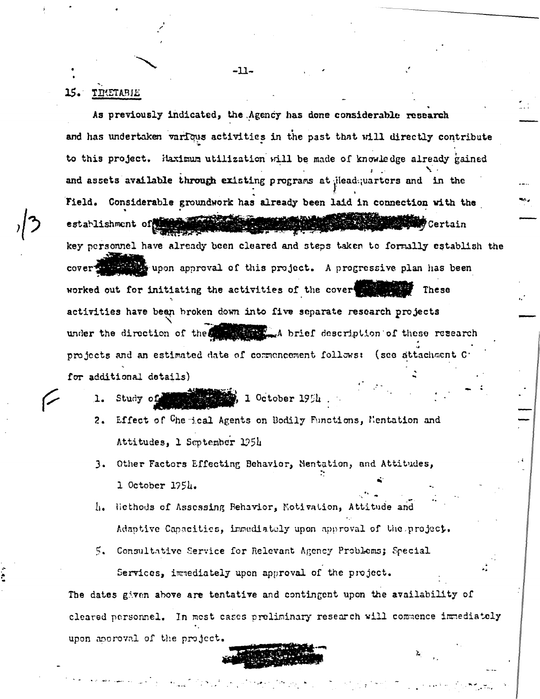### **15.** TIMETABLE

As previously indicated, the Agency has done considerable research and has undertaken various activities in the past that will directly contribute to this project. Haximum utilization will be made of knowledge already gained and assets available through existing programs at ileadquarters and in the Field. Considerable groundwork has already been laid in connection with the establishment of the stable of أوياضعه **WATCertain** key personnel have already been cleared and steps taken to formally establish the cover with upon approval of this project. A progressive plan has been worked out for initiating the activities of the cover These activities have been broken down into five separate research projects under the direction of the the self that held description of these research projects and an estimated date of commoncement follows: (see attachment C for additional details)

 $-11-$ 

 $\mathbf{1}$ 

- **All Read 1 October 1954** Study of
- $2.$ Effect of Chemical Agents on Bodily Functions, Mentation and Attitudes, 1 September 1954
- 3. Other Factors Effecting Behavior, Mentation, and Attitudes, 1 October 1954.
- Hiethods of Assessing Behavior, Motivation, Attitude and  $\ln$ Adaptive Capacities, immediately upon approval of the project.
- 5. Consultative Service for Relevant Agency Problems; Special Services, immediately upon approval of the project.

The dates given above are tentative and contingent upon the availability of cleared personnel. In most cases preliminary research will commence immediately upon aporoval of the project.

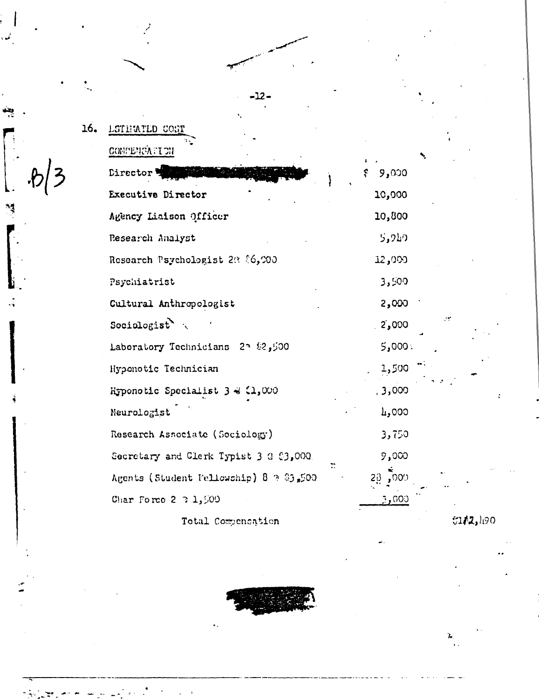|      | 16. |
|------|-----|
|      |     |
| .6/3 |     |
|      |     |

ئىي

يتند

 $\frac{1}{3}$ 

| <b>LSTEMTLD COST</b>                   |                         |
|----------------------------------------|-------------------------|
| COMPENSAFION                           |                         |
| Director =                             | , ୨ <b>,</b> ୦୦୦<br>÷.  |
| Executive Director                     | 10,000                  |
| Agency Liaison Officer                 | 10,800                  |
| Research Analyst                       | <b>CTC</b> <sup>5</sup> |
| Research Psychologist 20 06,000        | 12,000                  |
| Psychiatrist                           | 3,500                   |
| Cultural Anthropologist                | 2,000                   |
| Sociologist $\ddot{\ }$                | 2,000                   |
| 100 Laboratory Technicians 23 \$2,500  | : 000, 5                |
| Hyponotic Technician                   | 1,500                   |
| Hyponotic Specialist 3 & (1,000        | , 3,000                 |
| Neurologist                            | 000 ويل                 |
| Research Associate (Sociology)         | 3,750                   |
| Secretary and Clerk Typist 3 3 (3,000) | 9,000                   |
| Agents (Student Fellowship) 8 9 2500   | .009<br>20              |
| Char Force $2 \t3 \t1.500$             | 3,000                   |

 $-12-$ 

Total Compensation



 $$1/2,190$ 

 $\sum_{i=1}^{N}$ 

ċÝ,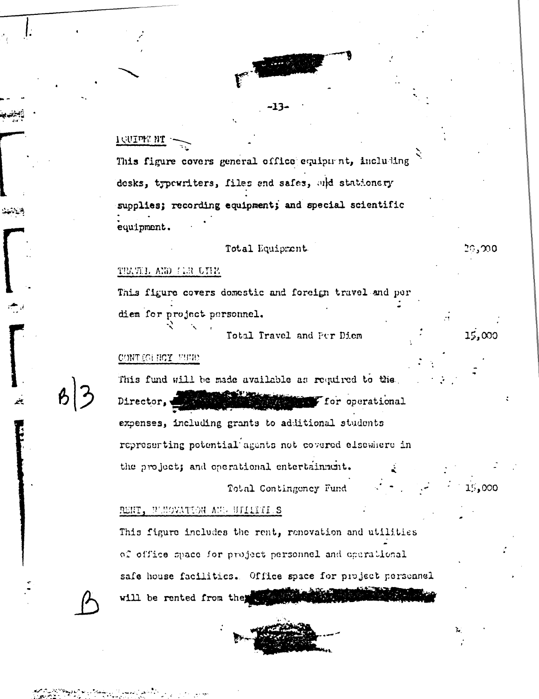

# TOMIAN MI

This figure covers general office equipment, including desks, typewriters, files and safes, and stationery supplies; recording equipment; and special scientific equipment.

## Total Equipment

# 20,000

 $15,000$ 

15,000

### TEATH AND FIR UIHA

This figure covers domestic and foreign travel and per diem for project personnel.

Total Travel and Per Diem

### CONTIGUEST FUMP

This fund will be made available as required to the Director, **MARKET For operational** expenses, including grants to additional students represerting potential agents not covered elsewhere in the project; and operational entertainment.

Total Contingency Fund

RENT, BUNOVATION AUG UTILITIES

This figure includes the rent, renovation and utilities of office space for project personnel and operational safe house facilities. Office space for project personnel will be rented from the the state